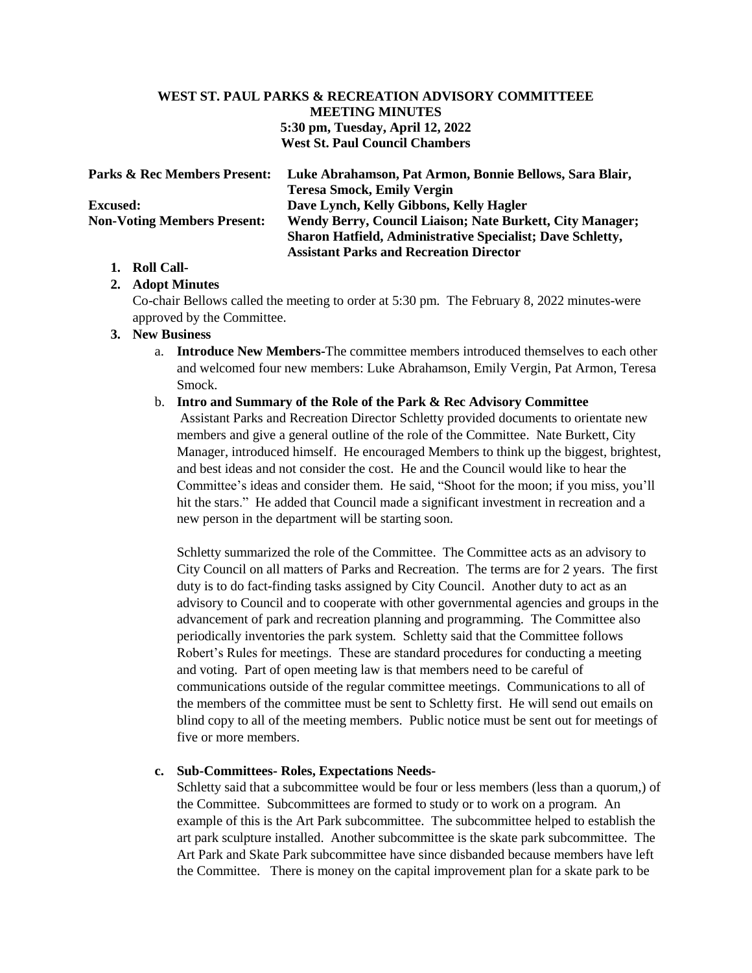# **WEST ST. PAUL PARKS & RECREATION ADVISORY COMMITTEEE MEETING MINUTES 5:30 pm, Tuesday, April 12, 2022 West St. Paul Council Chambers**

| <b>Parks &amp; Rec Members Present:</b> | Luke Abrahamson, Pat Armon, Bonnie Bellows, Sara Blair,           |
|-----------------------------------------|-------------------------------------------------------------------|
|                                         | <b>Teresa Smock, Emily Vergin</b>                                 |
| <b>Excused:</b>                         | Dave Lynch, Kelly Gibbons, Kelly Hagler                           |
| <b>Non-Voting Members Present:</b>      | Wendy Berry, Council Liaison; Nate Burkett, City Manager;         |
|                                         | <b>Sharon Hatfield, Administrative Specialist; Dave Schletty,</b> |
|                                         | <b>Assistant Parks and Recreation Director</b>                    |

# **1. Roll Call-**

# **2. Adopt Minutes**

Co-chair Bellows called the meeting to order at 5:30 pm. The February 8, 2022 minutes-were approved by the Committee.

## **3. New Business**

- a. **Introduce New Members-**The committee members introduced themselves to each other and welcomed four new members: Luke Abrahamson, Emily Vergin, Pat Armon, Teresa Smock.
- b. **Intro and Summary of the Role of the Park & Rec Advisory Committee** Assistant Parks and Recreation Director Schletty provided documents to orientate new members and give a general outline of the role of the Committee. Nate Burkett, City Manager, introduced himself. He encouraged Members to think up the biggest, brightest, and best ideas and not consider the cost. He and the Council would like to hear the Committee's ideas and consider them. He said, "Shoot for the moon; if you miss, you'll hit the stars." He added that Council made a significant investment in recreation and a new person in the department will be starting soon.

Schletty summarized the role of the Committee. The Committee acts as an advisory to City Council on all matters of Parks and Recreation. The terms are for 2 years. The first duty is to do fact-finding tasks assigned by City Council. Another duty to act as an advisory to Council and to cooperate with other governmental agencies and groups in the advancement of park and recreation planning and programming. The Committee also periodically inventories the park system. Schletty said that the Committee follows Robert's Rules for meetings. These are standard procedures for conducting a meeting and voting. Part of open meeting law is that members need to be careful of communications outside of the regular committee meetings. Communications to all of the members of the committee must be sent to Schletty first. He will send out emails on blind copy to all of the meeting members. Public notice must be sent out for meetings of five or more members.

# **c. Sub-Committees- Roles, Expectations Needs-**

Schletty said that a subcommittee would be four or less members (less than a quorum,) of the Committee. Subcommittees are formed to study or to work on a program. An example of this is the Art Park subcommittee. The subcommittee helped to establish the art park sculpture installed. Another subcommittee is the skate park subcommittee. The Art Park and Skate Park subcommittee have since disbanded because members have left the Committee. There is money on the capital improvement plan for a skate park to be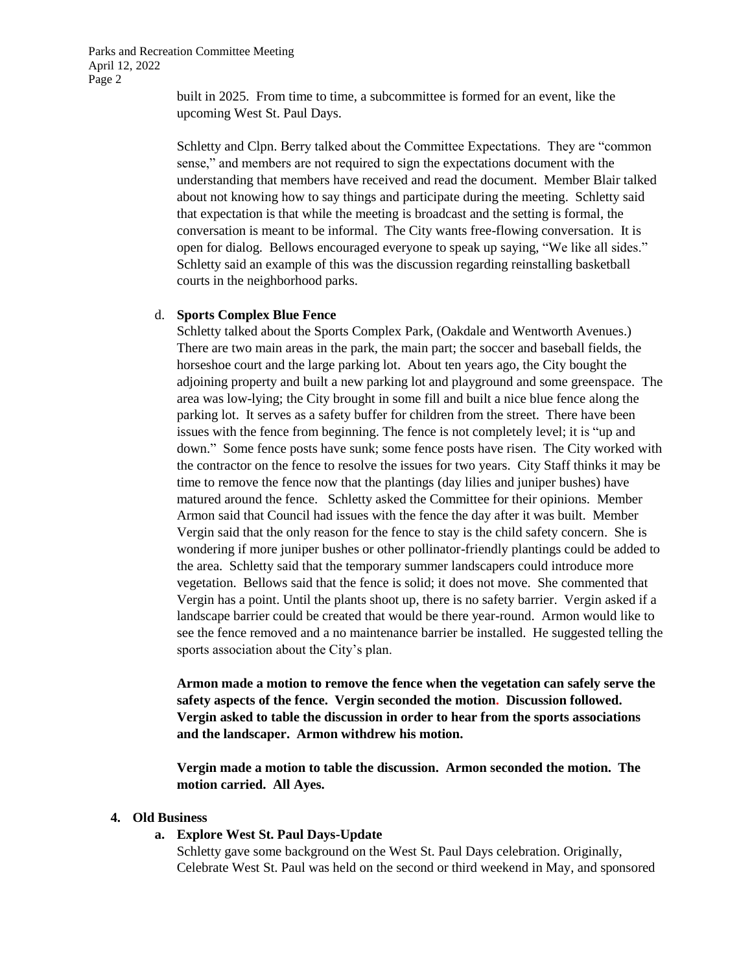Parks and Recreation Committee Meeting April 12, 2022 Page 2

> built in 2025. From time to time, a subcommittee is formed for an event, like the upcoming West St. Paul Days.

Schletty and Clpn. Berry talked about the Committee Expectations. They are "common sense," and members are not required to sign the expectations document with the understanding that members have received and read the document. Member Blair talked about not knowing how to say things and participate during the meeting. Schletty said that expectation is that while the meeting is broadcast and the setting is formal, the conversation is meant to be informal. The City wants free-flowing conversation. It is open for dialog. Bellows encouraged everyone to speak up saying, "We like all sides." Schletty said an example of this was the discussion regarding reinstalling basketball courts in the neighborhood parks.

#### d. **Sports Complex Blue Fence**

Schletty talked about the Sports Complex Park, (Oakdale and Wentworth Avenues.) There are two main areas in the park, the main part; the soccer and baseball fields, the horseshoe court and the large parking lot. About ten years ago, the City bought the adjoining property and built a new parking lot and playground and some greenspace. The area was low-lying; the City brought in some fill and built a nice blue fence along the parking lot. It serves as a safety buffer for children from the street. There have been issues with the fence from beginning. The fence is not completely level; it is "up and down." Some fence posts have sunk; some fence posts have risen. The City worked with the contractor on the fence to resolve the issues for two years. City Staff thinks it may be time to remove the fence now that the plantings (day lilies and juniper bushes) have matured around the fence. Schletty asked the Committee for their opinions. Member Armon said that Council had issues with the fence the day after it was built. Member Vergin said that the only reason for the fence to stay is the child safety concern. She is wondering if more juniper bushes or other pollinator-friendly plantings could be added to the area. Schletty said that the temporary summer landscapers could introduce more vegetation. Bellows said that the fence is solid; it does not move. She commented that Vergin has a point. Until the plants shoot up, there is no safety barrier. Vergin asked if a landscape barrier could be created that would be there year-round. Armon would like to see the fence removed and a no maintenance barrier be installed. He suggested telling the sports association about the City's plan.

**Armon made a motion to remove the fence when the vegetation can safely serve the safety aspects of the fence. Vergin seconded the motion. Discussion followed. Vergin asked to table the discussion in order to hear from the sports associations and the landscaper. Armon withdrew his motion.** 

**Vergin made a motion to table the discussion. Armon seconded the motion. The motion carried. All Ayes.**

### **4. Old Business**

#### **a. Explore West St. Paul Days-Update**

Schletty gave some background on the West St. Paul Days celebration. Originally, Celebrate West St. Paul was held on the second or third weekend in May, and sponsored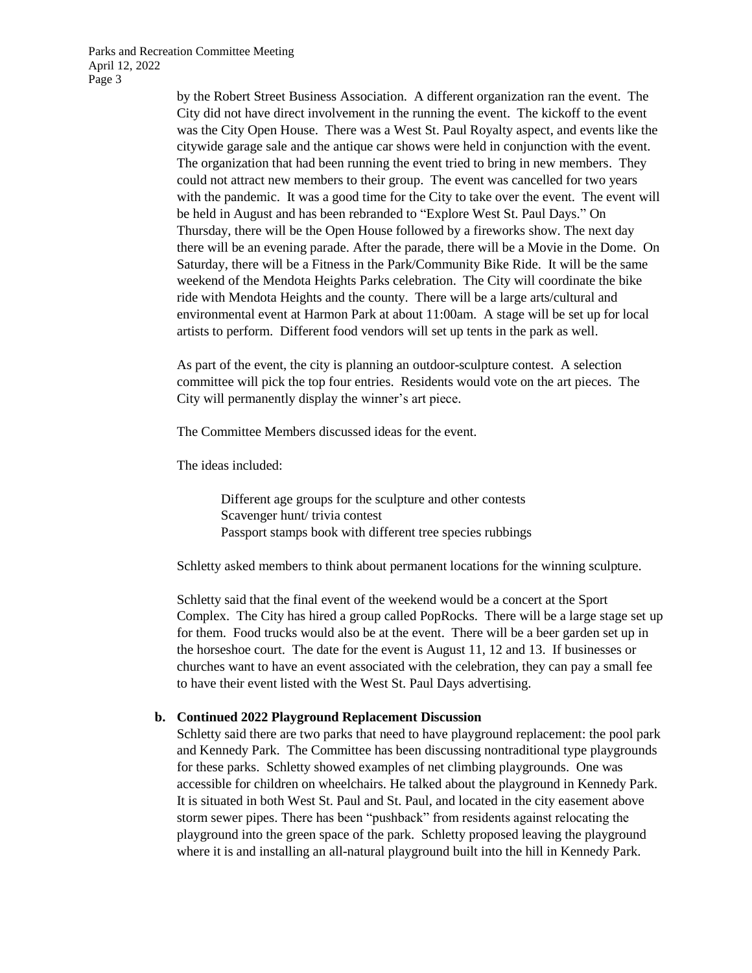Parks and Recreation Committee Meeting April 12, 2022 Page 3

> by the Robert Street Business Association. A different organization ran the event. The City did not have direct involvement in the running the event. The kickoff to the event was the City Open House. There was a West St. Paul Royalty aspect, and events like the citywide garage sale and the antique car shows were held in conjunction with the event. The organization that had been running the event tried to bring in new members. They could not attract new members to their group. The event was cancelled for two years with the pandemic. It was a good time for the City to take over the event. The event will be held in August and has been rebranded to "Explore West St. Paul Days." On Thursday, there will be the Open House followed by a fireworks show. The next day there will be an evening parade. After the parade, there will be a Movie in the Dome. On Saturday, there will be a Fitness in the Park/Community Bike Ride. It will be the same weekend of the Mendota Heights Parks celebration. The City will coordinate the bike ride with Mendota Heights and the county. There will be a large arts/cultural and environmental event at Harmon Park at about 11:00am. A stage will be set up for local artists to perform. Different food vendors will set up tents in the park as well.

As part of the event, the city is planning an outdoor-sculpture contest. A selection committee will pick the top four entries. Residents would vote on the art pieces. The City will permanently display the winner's art piece.

The Committee Members discussed ideas for the event.

The ideas included:

Different age groups for the sculpture and other contests Scavenger hunt/ trivia contest Passport stamps book with different tree species rubbings

Schletty asked members to think about permanent locations for the winning sculpture.

Schletty said that the final event of the weekend would be a concert at the Sport Complex. The City has hired a group called PopRocks. There will be a large stage set up for them. Food trucks would also be at the event. There will be a beer garden set up in the horseshoe court. The date for the event is August 11, 12 and 13. If businesses or churches want to have an event associated with the celebration, they can pay a small fee to have their event listed with the West St. Paul Days advertising.

#### **b. Continued 2022 Playground Replacement Discussion**

Schletty said there are two parks that need to have playground replacement: the pool park and Kennedy Park. The Committee has been discussing nontraditional type playgrounds for these parks. Schletty showed examples of net climbing playgrounds. One was accessible for children on wheelchairs. He talked about the playground in Kennedy Park. It is situated in both West St. Paul and St. Paul, and located in the city easement above storm sewer pipes. There has been "pushback" from residents against relocating the playground into the green space of the park. Schletty proposed leaving the playground where it is and installing an all-natural playground built into the hill in Kennedy Park.